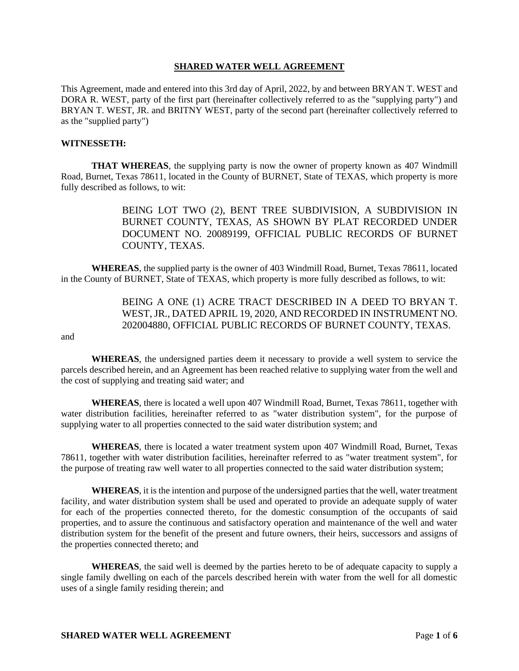## **SHARED WATER WELL AGREEMENT**

This Agreement, made and entered into this 3rd day of April, 2022, by and between BRYAN T. WEST and DORA R. WEST, party of the first part (hereinafter collectively referred to as the "supplying party") and BRYAN T. WEST, JR. and BRITNY WEST, party of the second part (hereinafter collectively referred to as the "supplied party")

## **WITNESSETH:**

**THAT WHEREAS**, the supplying party is now the owner of property known as 407 Windmill Road, Burnet, Texas 78611, located in the County of BURNET, State of TEXAS, which property is more fully described as follows, to wit:

> BEING LOT TWO (2), BENT TREE SUBDIVISION, A SUBDIVISION IN BURNET COUNTY, TEXAS, AS SHOWN BY PLAT RECORDED UNDER DOCUMENT NO. 20089199, OFFICIAL PUBLIC RECORDS OF BURNET COUNTY, TEXAS.

**WHEREAS**, the supplied party is the owner of 403 Windmill Road, Burnet, Texas 78611, located in the County of BURNET, State of TEXAS, which property is more fully described as follows, to wit:

> BEING A ONE (1) ACRE TRACT DESCRIBED IN A DEED TO BRYAN T. WEST, JR., DATED APRIL 19, 2020, AND RECORDED IN INSTRUMENT NO. 202004880, OFFICIAL PUBLIC RECORDS OF BURNET COUNTY, TEXAS.

and

**WHEREAS**, the undersigned parties deem it necessary to provide a well system to service the parcels described herein, and an Agreement has been reached relative to supplying water from the well and the cost of supplying and treating said water; and

**WHEREAS**, there is located a well upon 407 Windmill Road, Burnet, Texas 78611, together with water distribution facilities, hereinafter referred to as "water distribution system", for the purpose of supplying water to all properties connected to the said water distribution system; and

**WHEREAS**, there is located a water treatment system upon 407 Windmill Road, Burnet, Texas 78611, together with water distribution facilities, hereinafter referred to as "water treatment system", for the purpose of treating raw well water to all properties connected to the said water distribution system;

**WHEREAS**, it is the intention and purpose of the undersigned parties that the well, water treatment facility, and water distribution system shall be used and operated to provide an adequate supply of water for each of the properties connected thereto, for the domestic consumption of the occupants of said properties, and to assure the continuous and satisfactory operation and maintenance of the well and water distribution system for the benefit of the present and future owners, their heirs, successors and assigns of the properties connected thereto; and

**WHEREAS**, the said well is deemed by the parties hereto to be of adequate capacity to supply a single family dwelling on each of the parcels described herein with water from the well for all domestic uses of a single family residing therein; and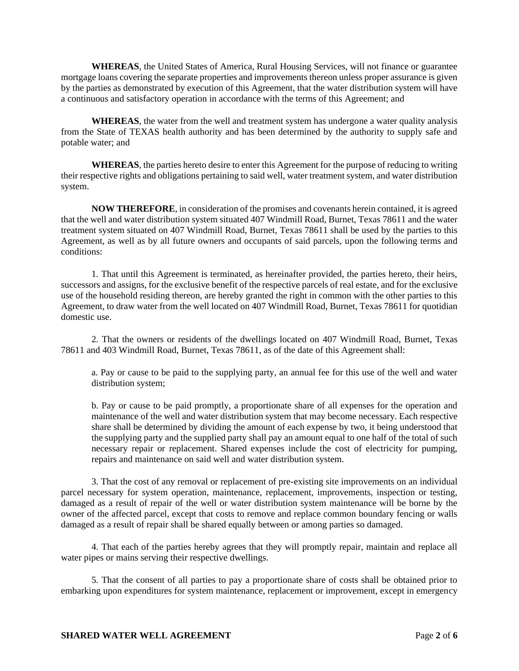**WHEREAS**, the United States of America, Rural Housing Services, will not finance or guarantee mortgage loans covering the separate properties and improvements thereon unless proper assurance is given by the parties as demonstrated by execution of this Agreement, that the water distribution system will have a continuous and satisfactory operation in accordance with the terms of this Agreement; and

**WHEREAS**, the water from the well and treatment system has undergone a water quality analysis from the State of TEXAS health authority and has been determined by the authority to supply safe and potable water; and

**WHEREAS**, the parties hereto desire to enter this Agreement for the purpose of reducing to writing their respective rights and obligations pertaining to said well, water treatment system, and water distribution system.

**NOW THEREFORE**, in consideration of the promises and covenants herein contained, it is agreed that the well and water distribution system situated 407 Windmill Road, Burnet, Texas 78611 and the water treatment system situated on 407 Windmill Road, Burnet, Texas 78611 shall be used by the parties to this Agreement, as well as by all future owners and occupants of said parcels, upon the following terms and conditions:

1. That until this Agreement is terminated, as hereinafter provided, the parties hereto, their heirs, successors and assigns, for the exclusive benefit of the respective parcels of real estate, and for the exclusive use of the household residing thereon, are hereby granted the right in common with the other parties to this Agreement, to draw water from the well located on 407 Windmill Road, Burnet, Texas 78611 for quotidian domestic use.

2. That the owners or residents of the dwellings located on 407 Windmill Road, Burnet, Texas 78611 and 403 Windmill Road, Burnet, Texas 78611, as of the date of this Agreement shall:

a. Pay or cause to be paid to the supplying party, an annual fee for this use of the well and water distribution system;

b. Pay or cause to be paid promptly, a proportionate share of all expenses for the operation and maintenance of the well and water distribution system that may become necessary. Each respective share shall be determined by dividing the amount of each expense by two, it being understood that the supplying party and the supplied party shall pay an amount equal to one half of the total of such necessary repair or replacement. Shared expenses include the cost of electricity for pumping, repairs and maintenance on said well and water distribution system.

3. That the cost of any removal or replacement of pre-existing site improvements on an individual parcel necessary for system operation, maintenance, replacement, improvements, inspection or testing, damaged as a result of repair of the well or water distribution system maintenance will be borne by the owner of the affected parcel, except that costs to remove and replace common boundary fencing or walls damaged as a result of repair shall be shared equally between or among parties so damaged.

4. That each of the parties hereby agrees that they will promptly repair, maintain and replace all water pipes or mains serving their respective dwellings.

5. That the consent of all parties to pay a proportionate share of costs shall be obtained prior to embarking upon expenditures for system maintenance, replacement or improvement, except in emergency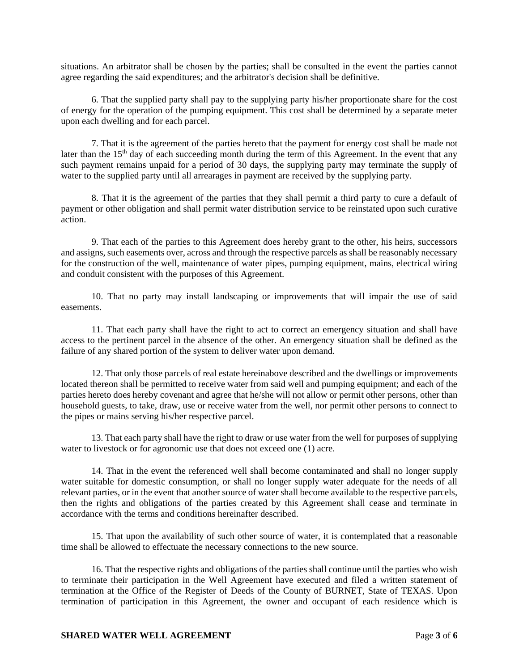situations. An arbitrator shall be chosen by the parties; shall be consulted in the event the parties cannot agree regarding the said expenditures; and the arbitrator's decision shall be definitive.

6. That the supplied party shall pay to the supplying party his/her proportionate share for the cost of energy for the operation of the pumping equipment. This cost shall be determined by a separate meter upon each dwelling and for each parcel.

7. That it is the agreement of the parties hereto that the payment for energy cost shall be made not later than the  $15<sup>th</sup>$  day of each succeeding month during the term of this Agreement. In the event that any such payment remains unpaid for a period of 30 days, the supplying party may terminate the supply of water to the supplied party until all arrearages in payment are received by the supplying party.

8. That it is the agreement of the parties that they shall permit a third party to cure a default of payment or other obligation and shall permit water distribution service to be reinstated upon such curative action.

9. That each of the parties to this Agreement does hereby grant to the other, his heirs, successors and assigns, such easements over, across and through the respective parcels as shall be reasonably necessary for the construction of the well, maintenance of water pipes, pumping equipment, mains, electrical wiring and conduit consistent with the purposes of this Agreement.

10. That no party may install landscaping or improvements that will impair the use of said easements.

11. That each party shall have the right to act to correct an emergency situation and shall have access to the pertinent parcel in the absence of the other. An emergency situation shall be defined as the failure of any shared portion of the system to deliver water upon demand.

12. That only those parcels of real estate hereinabove described and the dwellings or improvements located thereon shall be permitted to receive water from said well and pumping equipment; and each of the parties hereto does hereby covenant and agree that he/she will not allow or permit other persons, other than household guests, to take, draw, use or receive water from the well, nor permit other persons to connect to the pipes or mains serving his/her respective parcel.

13. That each party shall have the right to draw or use water from the well for purposes of supplying water to livestock or for agronomic use that does not exceed one  $(1)$  acre.

14. That in the event the referenced well shall become contaminated and shall no longer supply water suitable for domestic consumption, or shall no longer supply water adequate for the needs of all relevant parties, or in the event that another source of water shall become available to the respective parcels, then the rights and obligations of the parties created by this Agreement shall cease and terminate in accordance with the terms and conditions hereinafter described.

15. That upon the availability of such other source of water, it is contemplated that a reasonable time shall be allowed to effectuate the necessary connections to the new source.

16. That the respective rights and obligations of the parties shall continue until the parties who wish to terminate their participation in the Well Agreement have executed and filed a written statement of termination at the Office of the Register of Deeds of the County of BURNET, State of TEXAS. Upon termination of participation in this Agreement, the owner and occupant of each residence which is

## **SHARED WATER WELL AGREEMENT** Page 3 of 6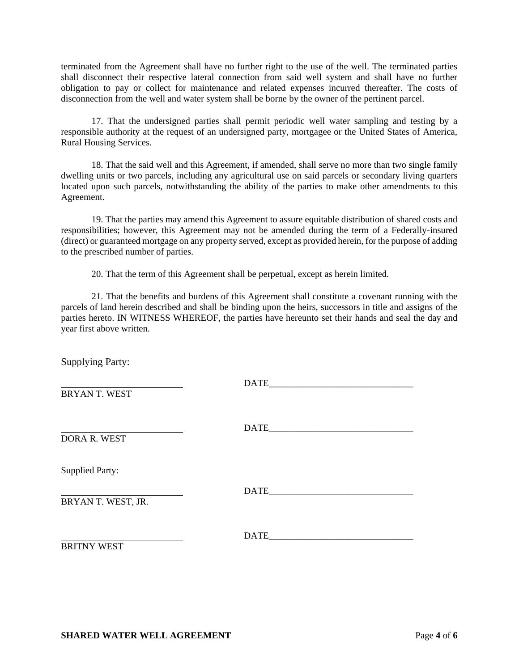terminated from the Agreement shall have no further right to the use of the well. The terminated parties shall disconnect their respective lateral connection from said well system and shall have no further obligation to pay or collect for maintenance and related expenses incurred thereafter. The costs of disconnection from the well and water system shall be borne by the owner of the pertinent parcel.

17. That the undersigned parties shall permit periodic well water sampling and testing by a responsible authority at the request of an undersigned party, mortgagee or the United States of America, Rural Housing Services.

18. That the said well and this Agreement, if amended, shall serve no more than two single family dwelling units or two parcels, including any agricultural use on said parcels or secondary living quarters located upon such parcels, notwithstanding the ability of the parties to make other amendments to this Agreement.

19. That the parties may amend this Agreement to assure equitable distribution of shared costs and responsibilities; however, this Agreement may not be amended during the term of a Federally-insured (direct) or guaranteed mortgage on any property served, except as provided herein, for the purpose of adding to the prescribed number of parties.

20. That the term of this Agreement shall be perpetual, except as herein limited.

21. That the benefits and burdens of this Agreement shall constitute a covenant running with the parcels of land herein described and shall be binding upon the heirs, successors in title and assigns of the parties hereto. IN WITNESS WHEREOF, the parties have hereunto set their hands and seal the day and year first above written.

Supplying Party: DATE\_\_\_\_\_\_\_\_\_\_\_\_\_\_\_\_\_\_\_\_\_\_\_\_\_\_\_\_\_\_\_ BRYAN T. WEST  $\Box$ DORA R. WEST Supplied Party: DATE\_\_\_\_\_\_\_\_\_\_\_\_\_\_\_\_\_\_\_\_\_\_\_\_\_\_\_\_\_\_\_ BRYAN T. WEST, JR. DATE\_\_\_\_\_\_\_\_\_\_\_\_\_\_\_\_\_\_\_\_\_\_\_\_\_\_\_\_\_\_\_ BRITNY WEST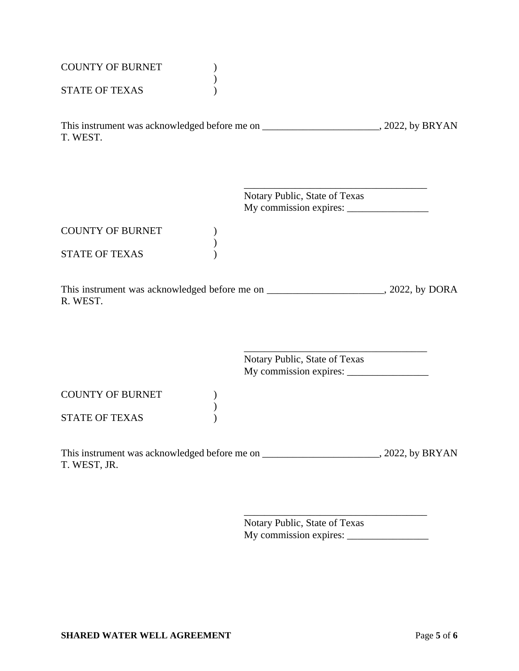| <b>COUNTY OF BURNET</b><br><b>STATE OF TEXAS</b> |                               |  |
|--------------------------------------------------|-------------------------------|--|
| T. WEST.                                         |                               |  |
|                                                  | Notary Public, State of Texas |  |
| <b>COUNTY OF BURNET</b>                          |                               |  |
| <b>STATE OF TEXAS</b>                            |                               |  |
| R. WEST.                                         |                               |  |
|                                                  | Notary Public, State of Texas |  |
| <b>COUNTY OF BURNET</b>                          |                               |  |
| <b>STATE OF TEXAS</b>                            |                               |  |
| T. WEST, JR.                                     |                               |  |

Notary Public, State of Texas My commission expires: \_\_\_\_\_\_\_\_\_\_\_\_\_\_\_\_

\_\_\_\_\_\_\_\_\_\_\_\_\_\_\_\_\_\_\_\_\_\_\_\_\_\_\_\_\_\_\_\_\_\_\_\_